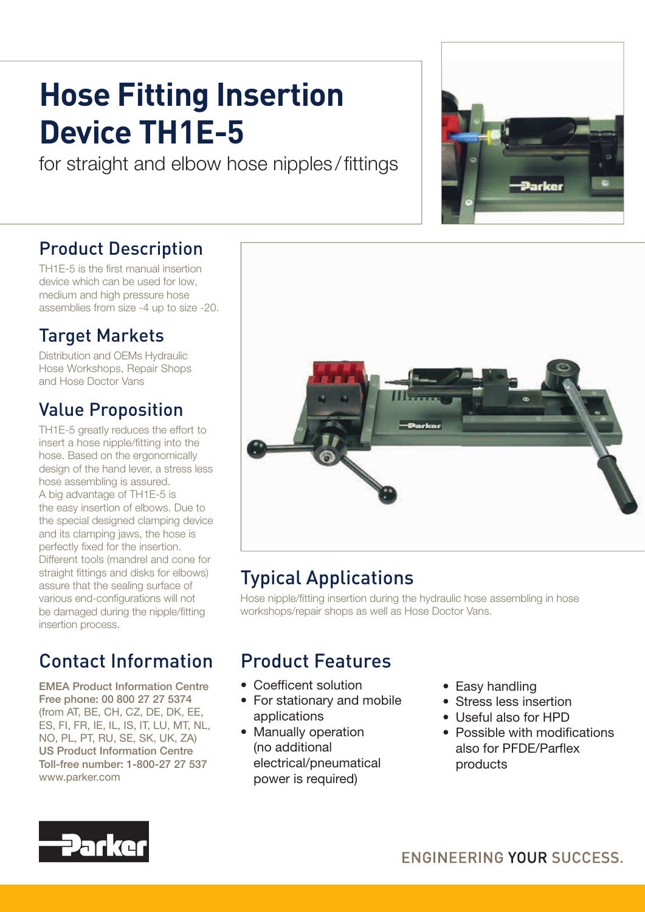# **Hose Fitting Insertion Device TH1E-5**

for straight and elbow hose nipples/fittings

#### Product Description

TH1E-5 is the first manual insertion device which can be used for low, medium and high pressure hose assemblies from size -4 up to size -20.

#### Target Markets

Distribution and OEMs Hydraulic Hose Workshops, Repair Shops and Hose Doctor Vans

#### Value Proposition

TH1E-5 greatly reduces the effort to insert a hose nipple/fitting into the hose. Based on the ergonomically design of the hand lever, a stress less hose assembling is assured. A big advantage of TH1E-5 is the easy insertion of elbows. Due to the special designed clamping device and its clamping jaws, the hose is perfectly fixed for the insertion. Different tools (mandrel and cone for straight fittings and disks for elbows) assure that the sealing surface of various end-configurations will not be damaged during the nipple/fitting insertion process.

## Contact Information

EMEA Product Information Centre Free phone: 00 800 27 27 5374 (from AT, BE, CH, CZ, DE, DK, EE, ES, FI, FR, IE, IL, IS, IT, LU, MT, NL, NO, PL, PT, RU, SE, SK, UK, ZA) US Product Information Centre Toll-free number: 1-800-27 27 537 www.parker.com



## Typical Applications

Hose nipple/fitting insertion during the hydraulic hose assembling in hose workshops/repair shops as well as Hose Doctor Vans.

## Product Features

- Coefficent solution
- For stationary and mobile applications
- Manually operation (no additional electrical/pneumatical power is required)
- Easy handling
- Stress less insertion
- Useful also for HPD
- $\bullet$  Possible with modifications also for PFDF/Parflex products